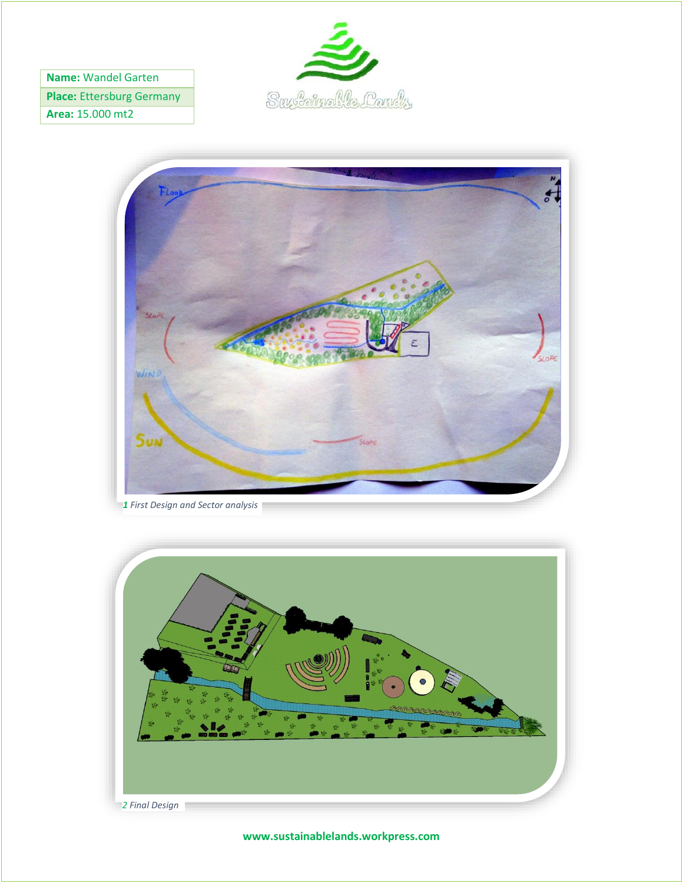**Name:** Wandel Garten

**Place:** Ettersburg Germany

**Area:** 15.000 mt2





*1 First Design and Sector analysis*



**www.sustainablelands.workpress.com**